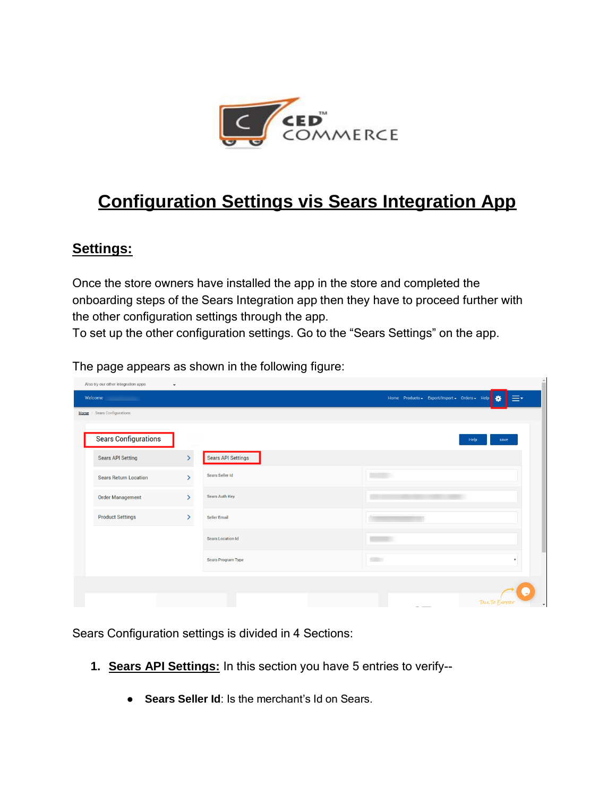

## **Configuration Settings vis Sears Integration App**

## **Settings:**

Once the store owners have installed the app in the store and completed the onboarding steps of the Sears Integration app then they have to proceed further with the other configuration settings through the app.

To set up the other configuration settings. Go to the "Sears Settings" on the app.

The page appears as shown in the following figure:

| Also try our other integration apps<br>$\check{~}$ |                  |                           |                                                           |
|----------------------------------------------------|------------------|---------------------------|-----------------------------------------------------------|
| Welcome                                            |                  |                           | $\equiv$<br>Home Products - Export/Import - Orders - Help |
| Home / Sears Configurations                        |                  |                           |                                                           |
| <b>Sears Configurations</b>                        |                  |                           | Help<br>save                                              |
| <b>Sears API Setting</b>                           | $\left( \right)$ | <b>Sears API Settings</b> |                                                           |
| <b>Sears Return Location</b>                       | $\mathcal{P}$    | Sears Seller Id           |                                                           |
| <b>Order Management</b>                            | $\mathcal{P}$    | Sears Auth Key            |                                                           |
| <b>Product Settings</b>                            | $\mathcal{P}$    | Seller Email              |                                                           |
|                                                    |                  | <b>Sears Location Id</b>  |                                                           |
|                                                    |                  | Sears Program Type        | <b>COLOR</b><br>$\boldsymbol{\mathrm{v}}$                 |
|                                                    |                  |                           |                                                           |
|                                                    |                  |                           | <b>TALK TO EXPERT</b><br>$\overline{\phantom{a}}$         |

 $\hat{=}$ 

Sears Configuration settings is divided in 4 Sections:

- **1. Sears API Settings:** In this section you have 5 entries to verify--
	- **Sears Seller Id**: Is the merchant's Id on Sears.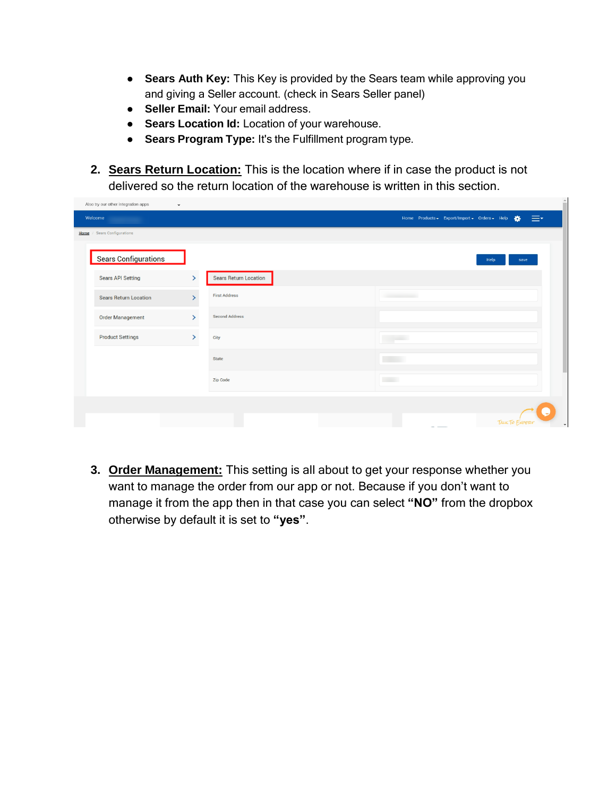- **Sears Auth Key:** This Key is provided by the Sears team while approving you and giving a Seller account. (check in Sears Seller panel)
- **Seller Email:** Your email address.
- **Sears Location Id:** Location of your warehouse.
- **Sears Program Type:** It's the Fulfillment program type.
- **2. Sears Return Location:** This is the location where if in case the product is not delivered so the return location of the warehouse is written in this section.

| Also try our other integration apps<br>$\check{~}$ |               |                              |                                                          |
|----------------------------------------------------|---------------|------------------------------|----------------------------------------------------------|
| Welcome                                            |               |                              | ≡∗<br>Home Products - Export/Import - Orders - Help<br>舂 |
| Home / Sears Configurations                        |               |                              |                                                          |
| <b>Sears Configurations</b>                        |               |                              | Help<br>save                                             |
| <b>Sears API Setting</b>                           | $\rightarrow$ | <b>Sears Return Location</b> |                                                          |
| <b>Sears Return Location</b>                       | Š             | <b>First Address</b>         | <b>Commercial</b>                                        |
| <b>Order Management</b>                            | $\mathcal{P}$ | <b>Second Address</b>        |                                                          |
| <b>Product Settings</b>                            | $\mathcal{P}$ | City                         |                                                          |
|                                                    |               | State                        |                                                          |
|                                                    |               | Zip Code                     | <b>COLLECT</b>                                           |
|                                                    |               |                              |                                                          |
|                                                    |               |                              | <b>TALK TO EXPERT</b><br>$\overline{\phantom{a}}$        |

**3. Order Management:** This setting is all about to get your response whether you want to manage the order from our app or not. Because if you don't want to manage it from the app then in that case you can select **"NO"** from the dropbox otherwise by default it is set to **"yes"**.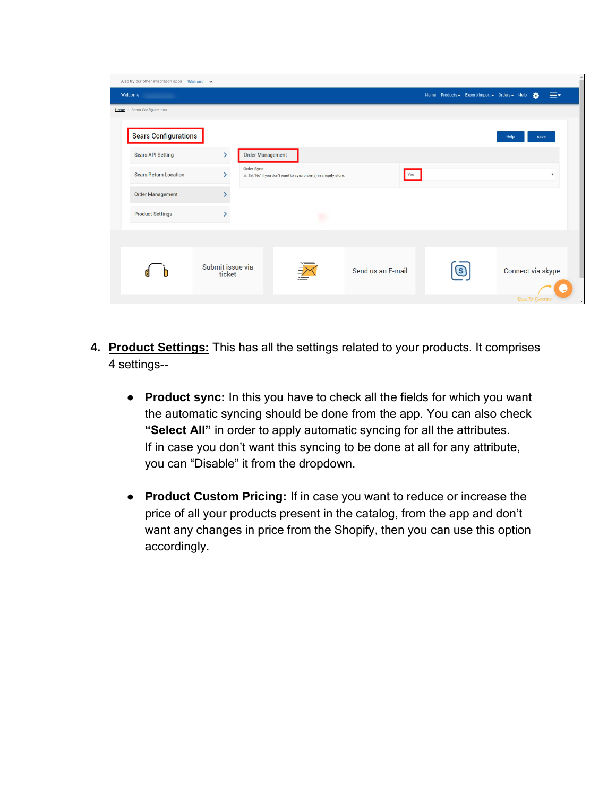| Also try our other integration apps Walmart v |                              |                         |                                                               |                   |     |                                               |      |                        |  |
|-----------------------------------------------|------------------------------|-------------------------|---------------------------------------------------------------|-------------------|-----|-----------------------------------------------|------|------------------------|--|
| Welcome                                       |                              |                         |                                                               |                   |     | Home Products - Export/Import - Orders - Help |      | ≡∹<br>巻                |  |
| Home / Sears Configurations                   |                              |                         |                                                               |                   |     |                                               |      |                        |  |
| <b>Sears Configurations</b>                   |                              |                         |                                                               |                   |     |                                               | Help | save                   |  |
| <b>Sears API Setting</b>                      | $\left\langle \right\rangle$ | <b>Order Management</b> |                                                               |                   |     |                                               |      |                        |  |
| <b>Sears Return Location</b>                  | $\mathcal{P}$                | Order Sync              | Set 'No' if you don't want to sync order(s) in shopify store. |                   | Yes |                                               |      |                        |  |
| <b>Order Management</b>                       |                              |                         |                                                               |                   |     |                                               |      |                        |  |
| <b>Product Settings</b>                       |                              |                         |                                                               |                   |     |                                               |      |                        |  |
|                                               |                              |                         |                                                               |                   |     |                                               |      |                        |  |
|                                               | Submit issue via<br>ticket   |                         | ⊉                                                             | Send us an E-mail |     |                                               |      | Connect via skype      |  |
|                                               |                              |                         |                                                               |                   |     |                                               |      | <b>TALK TO EXPERIT</b> |  |

- **4. Product Settings:** This has all the settings related to your products. It comprises 4 settings--
	- **Product sync:** In this you have to check all the fields for which you want the automatic syncing should be done from the app. You can also check **"Select All"** in order to apply automatic syncing for all the attributes. If in case you don't want this syncing to be done at all for any attribute, you can "Disable" it from the dropdown.
	- **● Product Custom Pricing:** If in case you want to reduce or increase the price of all your products present in the catalog, from the app and don't want any changes in price from the Shopify, then you can use this option accordingly.